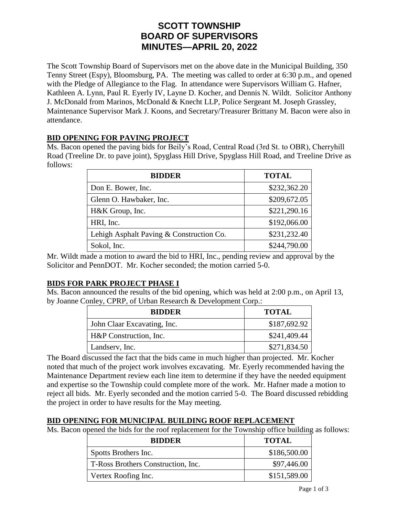# **SCOTT TOWNSHIP BOARD OF SUPERVISORS MINUTES—APRIL 20, 2022**

The Scott Township Board of Supervisors met on the above date in the Municipal Building, 350 Tenny Street (Espy), Bloomsburg, PA. The meeting was called to order at 6:30 p.m., and opened with the Pledge of Allegiance to the Flag. In attendance were Supervisors William G. Hafner, Kathleen A. Lynn, Paul R. Eyerly IV, Layne D. Kocher, and Dennis N. Wildt. Solicitor Anthony J. McDonald from Marinos, McDonald & Knecht LLP, Police Sergeant M. Joseph Grassley, Maintenance Supervisor Mark J. Koons, and Secretary/Treasurer Brittany M. Bacon were also in attendance.

#### **BID OPENING FOR PAVING PROJECT**

Ms. Bacon opened the paving bids for Beily's Road, Central Road (3rd St. to OBR), Cherryhill Road (Treeline Dr. to pave joint), Spyglass Hill Drive, Spyglass Hill Road, and Treeline Drive as follows:

| <b>BIDDER</b>                            | <b>TOTAL</b> |
|------------------------------------------|--------------|
| Don E. Bower, Inc.                       | \$232,362.20 |
| Glenn O. Hawbaker, Inc.                  | \$209,672.05 |
| H&K Group, Inc.                          | \$221,290.16 |
| HRI, Inc.                                | \$192,066.00 |
| Lehigh Asphalt Paving & Construction Co. | \$231,232.40 |
| Sokol, Inc.                              | \$244,790.00 |

Mr. Wildt made a motion to award the bid to HRI, Inc., pending review and approval by the Solicitor and PennDOT. Mr. Kocher seconded; the motion carried 5-0.

#### **BIDS FOR PARK PROJECT PHASE I**

Ms. Bacon announced the results of the bid opening, which was held at 2:00 p.m., on April 13, by Joanne Conley, CPRP, of Urban Research & Development Corp.:

| <b>BIDDER</b>               | <b>TOTAL</b> |
|-----------------------------|--------------|
| John Claar Excavating, Inc. | \$187,692.92 |
| H&P Construction, Inc.      | \$241,409.44 |
| Landserv, Inc.              | \$271,834.50 |

The Board discussed the fact that the bids came in much higher than projected. Mr. Kocher noted that much of the project work involves excavating. Mr. Eyerly recommended having the Maintenance Department review each line item to determine if they have the needed equipment and expertise so the Township could complete more of the work. Mr. Hafner made a motion to reject all bids. Mr. Eyerly seconded and the motion carried 5-0. The Board discussed rebidding the project in order to have results for the May meeting.

#### **BID OPENING FOR MUNICIPAL BUILDING ROOF REPLACEMENT**

Ms. Bacon opened the bids for the roof replacement for the Township office building as follows:

| <b>BIDDER</b>                      | <b>TOTAL</b> |
|------------------------------------|--------------|
| Spotts Brothers Inc.               | \$186,500.00 |
| T-Ross Brothers Construction, Inc. | \$97,446.00  |
| Vertex Roofing Inc.                | \$151,589.00 |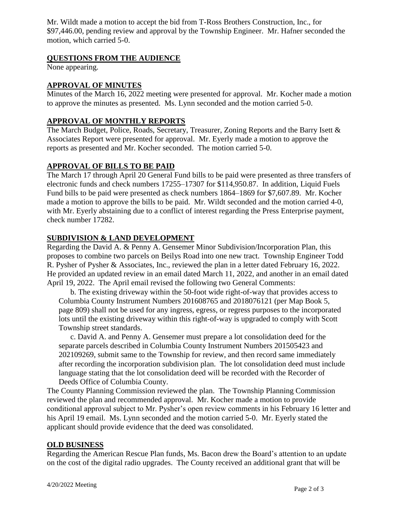Mr. Wildt made a motion to accept the bid from T-Ross Brothers Construction, Inc., for \$97,446.00, pending review and approval by the Township Engineer. Mr. Hafner seconded the motion, which carried 5-0.

### **QUESTIONS FROM THE AUDIENCE**

None appearing.

### **APPROVAL OF MINUTES**

Minutes of the March 16, 2022 meeting were presented for approval. Mr. Kocher made a motion to approve the minutes as presented. Ms. Lynn seconded and the motion carried 5-0.

### **APPROVAL OF MONTHLY REPORTS**

The March Budget, Police, Roads, Secretary, Treasurer, Zoning Reports and the Barry Isett & Associates Report were presented for approval. Mr. Eyerly made a motion to approve the reports as presented and Mr. Kocher seconded. The motion carried 5-0.

## **APPROVAL OF BILLS TO BE PAID**

The March 17 through April 20 General Fund bills to be paid were presented as three transfers of electronic funds and check numbers 17255–17307 for \$114,950.87. In addition, Liquid Fuels Fund bills to be paid were presented as check numbers 1864–1869 for \$7,607.89. Mr. Kocher made a motion to approve the bills to be paid. Mr. Wildt seconded and the motion carried 4-0, with Mr. Eyerly abstaining due to a conflict of interest regarding the Press Enterprise payment, check number 17282.

## **SUBDIVISION & LAND DEVELOPMENT**

Regarding the David A. & Penny A. Gensemer Minor Subdivision/Incorporation Plan, this proposes to combine two parcels on Beilys Road into one new tract. Township Engineer Todd R. Pysher of Pysher & Associates, Inc., reviewed the plan in a letter dated February 16, 2022. He provided an updated review in an email dated March 11, 2022, and another in an email dated April 19, 2022. The April email revised the following two General Comments:

b. The existing driveway within the 50-foot wide right-of-way that provides access to Columbia County Instrument Numbers 201608765 and 2018076121 (per Map Book 5, page 809) shall not be used for any ingress, egress, or regress purposes to the incorporated lots until the existing driveway within this right-of-way is upgraded to comply with Scott Township street standards.

c. David A. and Penny A. Gensemer must prepare a lot consolidation deed for the separate parcels described in Columbia County Instrument Numbers 201505423 and 202109269, submit same to the Township for review, and then record same immediately after recording the incorporation subdivision plan. The lot consolidation deed must include language stating that the lot consolidation deed will be recorded with the Recorder of Deeds Office of Columbia County.

The County Planning Commission reviewed the plan. The Township Planning Commission reviewed the plan and recommended approval. Mr. Kocher made a motion to provide conditional approval subject to Mr. Pysher's open review comments in his February 16 letter and his April 19 email. Ms. Lynn seconded and the motion carried 5-0. Mr. Eyerly stated the applicant should provide evidence that the deed was consolidated.

#### **OLD BUSINESS**

Regarding the American Rescue Plan funds, Ms. Bacon drew the Board's attention to an update on the cost of the digital radio upgrades. The County received an additional grant that will be